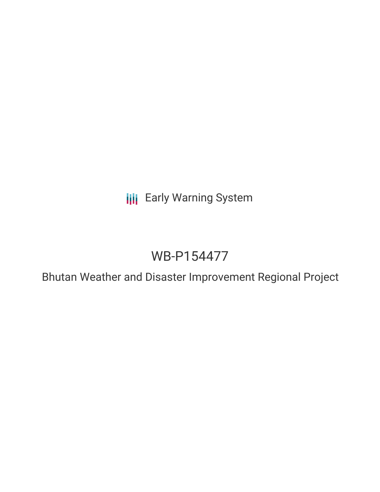**III** Early Warning System

# WB-P154477

Bhutan Weather and Disaster Improvement Regional Project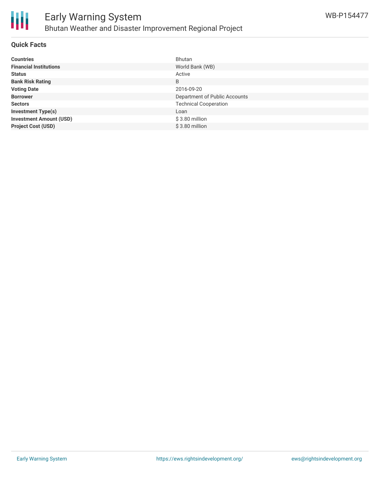

#### **Quick Facts**

| <b>Countries</b>               | Bhutan                        |
|--------------------------------|-------------------------------|
| <b>Financial Institutions</b>  | World Bank (WB)               |
| <b>Status</b>                  | Active                        |
| <b>Bank Risk Rating</b>        | B                             |
| <b>Voting Date</b>             | 2016-09-20                    |
| <b>Borrower</b>                | Department of Public Accounts |
| <b>Sectors</b>                 | <b>Technical Cooperation</b>  |
| <b>Investment Type(s)</b>      | Loan                          |
| <b>Investment Amount (USD)</b> | $$3.80$ million               |
| <b>Project Cost (USD)</b>      | \$3.80 million                |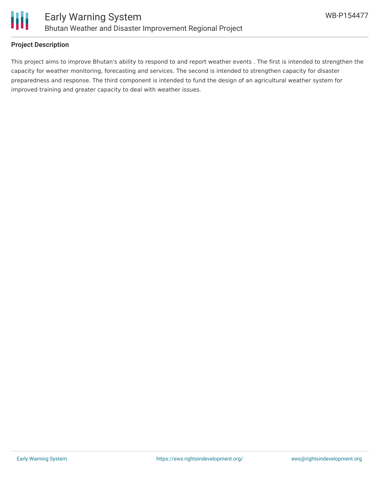

### **Project Description**

This project aims to improve Bhutan's ability to respond to and report weather events . The first is intended to strengthen the capacity for weather monitoring, forecasting and services. The second is intended to strengthen capacity for disaster preparedness and response. The third component is intended to fund the design of an agricultural weather system for improved training and greater capacity to deal with weather issues.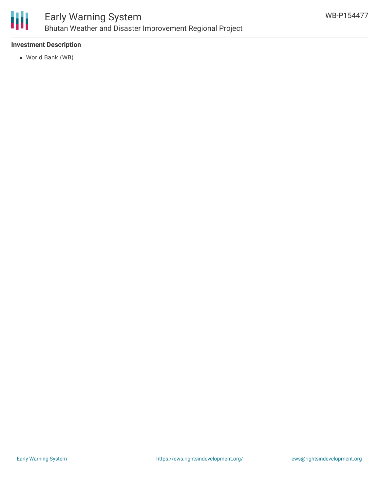

### **Investment Description**

World Bank (WB)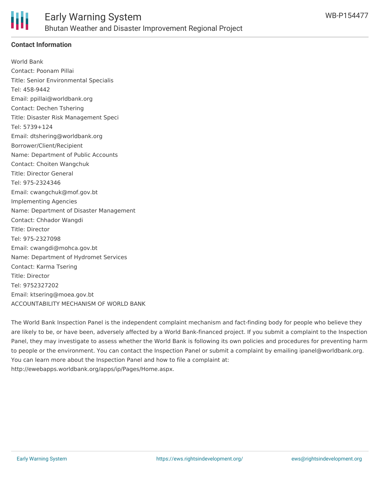

## **Contact Information**

World Bank Contact: Poonam Pillai Title: Senior Environmental Specialis Tel: 458-9442 Email: ppillai@worldbank.org Contact: Dechen Tshering Title: Disaster Risk Management Speci Tel: 5739+124 Email: dtshering@worldbank.org Borrower/Client/Recipient Name: Department of Public Accounts Contact: Choiten Wangchuk Title: Director General Tel: 975-2324346 Email: cwangchuk@mof.gov.bt Implementing Agencies Name: Department of Disaster Management Contact: Chhador Wangdi Title: Director Tel: 975-2327098 Email: cwangdi@mohca.gov.bt Name: Department of Hydromet Services Contact: Karma Tsering Title: Director Tel: 9752327202 Email: ktsering@moea.gov.bt ACCOUNTABILITY MECHANISM OF WORLD BANK

The World Bank Inspection Panel is the independent complaint mechanism and fact-finding body for people who believe they are likely to be, or have been, adversely affected by a World Bank-financed project. If you submit a complaint to the Inspection Panel, they may investigate to assess whether the World Bank is following its own policies and procedures for preventing harm to people or the environment. You can contact the Inspection Panel or submit a complaint by emailing ipanel@worldbank.org. You can learn more about the Inspection Panel and how to file a complaint at: http://ewebapps.worldbank.org/apps/ip/Pages/Home.aspx.